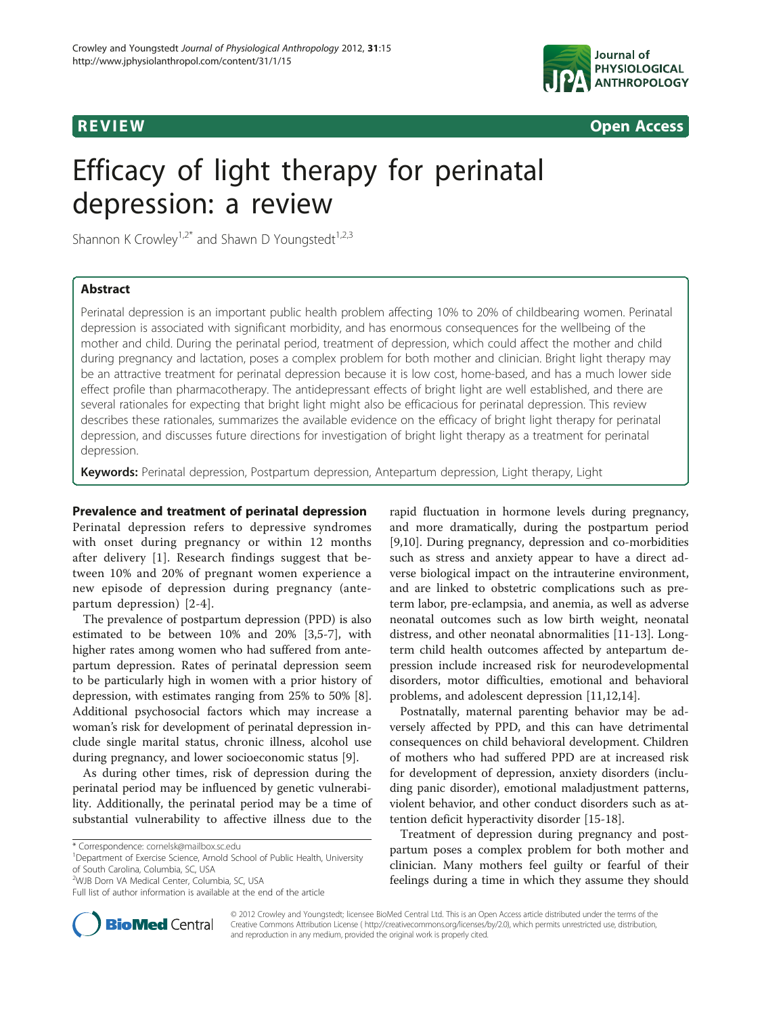

**REVIEW REVIEW CONSTRUCTER CONSTRUCTION** 

# Efficacy of light therapy for perinatal depression: a review

Shannon K Crowley<sup>1,2\*</sup> and Shawn D Youngstedt<sup>1,2,3</sup>

# Abstract

Perinatal depression is an important public health problem affecting 10% to 20% of childbearing women. Perinatal depression is associated with significant morbidity, and has enormous consequences for the wellbeing of the mother and child. During the perinatal period, treatment of depression, which could affect the mother and child during pregnancy and lactation, poses a complex problem for both mother and clinician. Bright light therapy may be an attractive treatment for perinatal depression because it is low cost, home-based, and has a much lower side effect profile than pharmacotherapy. The antidepressant effects of bright light are well established, and there are several rationales for expecting that bright light might also be efficacious for perinatal depression. This review describes these rationales, summarizes the available evidence on the efficacy of bright light therapy for perinatal depression, and discusses future directions for investigation of bright light therapy as a treatment for perinatal depression.

Keywords: Perinatal depression, Postpartum depression, Antepartum depression, Light therapy, Light

## Prevalence and treatment of perinatal depression

Perinatal depression refers to depressive syndromes with onset during pregnancy or within 12 months after delivery [\[1](#page-4-0)]. Research findings suggest that between 10% and 20% of pregnant women experience a new episode of depression during pregnancy (antepartum depression) [[2-4\]](#page-4-0).

The prevalence of postpartum depression (PPD) is also estimated to be between 10% and 20% [[3,5-7](#page-4-0)], with higher rates among women who had suffered from antepartum depression. Rates of perinatal depression seem to be particularly high in women with a prior history of depression, with estimates ranging from 25% to 50% [\[8](#page-4-0)]. Additional psychosocial factors which may increase a woman's risk for development of perinatal depression include single marital status, chronic illness, alcohol use during pregnancy, and lower socioeconomic status [\[9](#page-4-0)].

As during other times, risk of depression during the perinatal period may be influenced by genetic vulnerability. Additionally, the perinatal period may be a time of substantial vulnerability to affective illness due to the

\* Correspondence: [cornelsk@mailbox.sc.edu](mailto:cornelsk@mailbox.sc.edu) <sup>1</sup>

rapid fluctuation in hormone levels during pregnancy, and more dramatically, during the postpartum period [[9,10\]](#page-4-0). During pregnancy, depression and co-morbidities such as stress and anxiety appear to have a direct adverse biological impact on the intrauterine environment, and are linked to obstetric complications such as preterm labor, pre-eclampsia, and anemia, as well as adverse neonatal outcomes such as low birth weight, neonatal distress, and other neonatal abnormalities [[11-13\]](#page-4-0). Longterm child health outcomes affected by antepartum depression include increased risk for neurodevelopmental disorders, motor difficulties, emotional and behavioral problems, and adolescent depression [\[11,12,14](#page-4-0)].

Postnatally, maternal parenting behavior may be adversely affected by PPD, and this can have detrimental consequences on child behavioral development. Children of mothers who had suffered PPD are at increased risk for development of depression, anxiety disorders (including panic disorder), emotional maladjustment patterns, violent behavior, and other conduct disorders such as attention deficit hyperactivity disorder [[15-18](#page-4-0)].

Treatment of depression during pregnancy and postpartum poses a complex problem for both mother and clinician. Many mothers feel guilty or fearful of their feelings during a time in which they assume they should



© 2012 Crowley and Youngstedt; licensee BioMed Central Ltd. This is an Open Access article distributed under the terms of the Creative Commons Attribution License ( http://creativecommons.org/licenses/by/2.0), which permits unrestricted use, distribution, and reproduction in any medium, provided the original work is properly cited.

<sup>&</sup>lt;sup>1</sup>Department of Exercise Science, Arnold School of Public Health, University of South Carolina, Columbia, SC, USA

<sup>2</sup> WJB Dorn VA Medical Center, Columbia, SC, USA

Full list of author information is available at the end of the article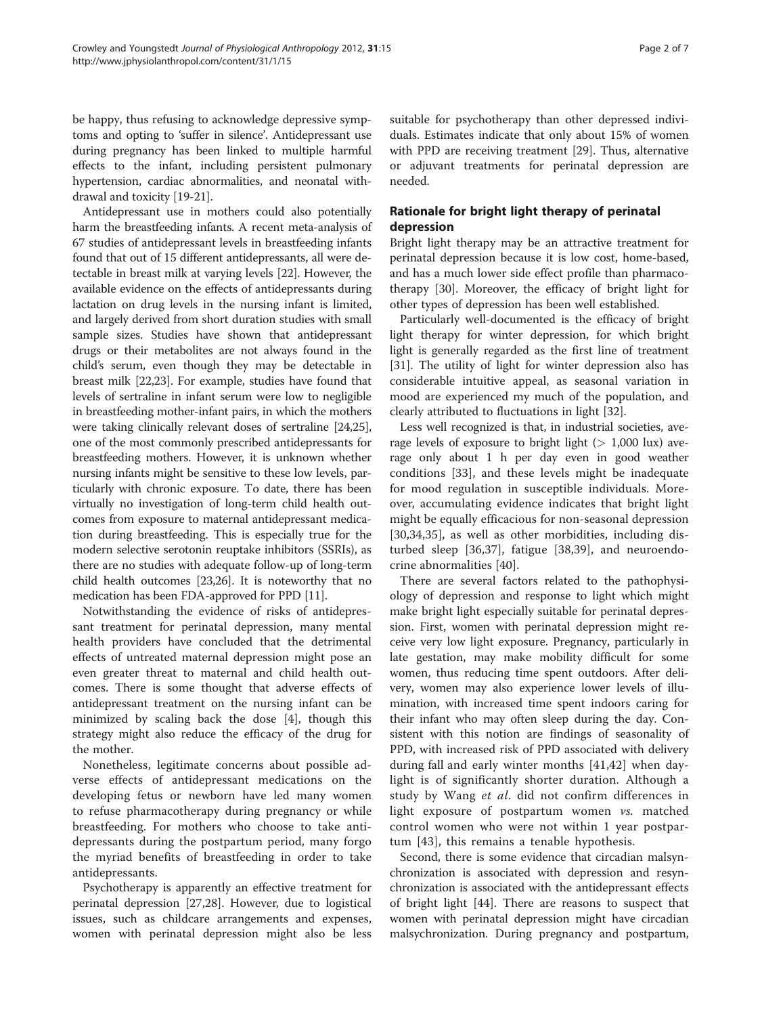be happy, thus refusing to acknowledge depressive symptoms and opting to 'suffer in silence'. Antidepressant use during pregnancy has been linked to multiple harmful effects to the infant, including persistent pulmonary hypertension, cardiac abnormalities, and neonatal withdrawal and toxicity [[19](#page-4-0)-[21](#page-4-0)].

Antidepressant use in mothers could also potentially harm the breastfeeding infants. A recent meta-analysis of 67 studies of antidepressant levels in breastfeeding infants found that out of 15 different antidepressants, all were detectable in breast milk at varying levels [[22](#page-4-0)]. However, the available evidence on the effects of antidepressants during lactation on drug levels in the nursing infant is limited, and largely derived from short duration studies with small sample sizes. Studies have shown that antidepressant drugs or their metabolites are not always found in the child's serum, even though they may be detectable in breast milk [[22,23](#page-4-0)]. For example, studies have found that levels of sertraline in infant serum were low to negligible in breastfeeding mother-infant pairs, in which the mothers were taking clinically relevant doses of sertraline [\[24,](#page-4-0)[25](#page-5-0)], one of the most commonly prescribed antidepressants for breastfeeding mothers. However, it is unknown whether nursing infants might be sensitive to these low levels, particularly with chronic exposure. To date, there has been virtually no investigation of long-term child health outcomes from exposure to maternal antidepressant medication during breastfeeding. This is especially true for the modern selective serotonin reuptake inhibitors (SSRIs), as there are no studies with adequate follow-up of long-term child health outcomes [[23](#page-4-0)[,26\]](#page-5-0). It is noteworthy that no medication has been FDA-approved for PPD [\[11\]](#page-4-0).

Notwithstanding the evidence of risks of antidepressant treatment for perinatal depression, many mental health providers have concluded that the detrimental effects of untreated maternal depression might pose an even greater threat to maternal and child health outcomes. There is some thought that adverse effects of antidepressant treatment on the nursing infant can be minimized by scaling back the dose [\[4](#page-4-0)], though this strategy might also reduce the efficacy of the drug for the mother.

Nonetheless, legitimate concerns about possible adverse effects of antidepressant medications on the developing fetus or newborn have led many women to refuse pharmacotherapy during pregnancy or while breastfeeding. For mothers who choose to take antidepressants during the postpartum period, many forgo the myriad benefits of breastfeeding in order to take antidepressants.

Psychotherapy is apparently an effective treatment for perinatal depression [\[27,28](#page-5-0)]. However, due to logistical issues, such as childcare arrangements and expenses, women with perinatal depression might also be less

suitable for psychotherapy than other depressed individuals. Estimates indicate that only about 15% of women with PPD are receiving treatment [[29](#page-5-0)]. Thus, alternative or adjuvant treatments for perinatal depression are needed.

# Rationale for bright light therapy of perinatal depression

Bright light therapy may be an attractive treatment for perinatal depression because it is low cost, home-based, and has a much lower side effect profile than pharmacotherapy [\[30\]](#page-5-0). Moreover, the efficacy of bright light for other types of depression has been well established.

Particularly well-documented is the efficacy of bright light therapy for winter depression, for which bright light is generally regarded as the first line of treatment [[31\]](#page-5-0). The utility of light for winter depression also has considerable intuitive appeal, as seasonal variation in mood are experienced my much of the population, and clearly attributed to fluctuations in light [[32\]](#page-5-0).

Less well recognized is that, in industrial societies, average levels of exposure to bright light  $(> 1,000 \text{ lux})$  average only about 1 h per day even in good weather conditions [\[33](#page-5-0)], and these levels might be inadequate for mood regulation in susceptible individuals. Moreover, accumulating evidence indicates that bright light might be equally efficacious for non-seasonal depression [[30,34,35](#page-5-0)], as well as other morbidities, including disturbed sleep [[36,37](#page-5-0)], fatigue [\[38](#page-5-0),[39\]](#page-5-0), and neuroendocrine abnormalities [[40\]](#page-5-0).

There are several factors related to the pathophysiology of depression and response to light which might make bright light especially suitable for perinatal depression. First, women with perinatal depression might receive very low light exposure. Pregnancy, particularly in late gestation, may make mobility difficult for some women, thus reducing time spent outdoors. After delivery, women may also experience lower levels of illumination, with increased time spent indoors caring for their infant who may often sleep during the day. Consistent with this notion are findings of seasonality of PPD, with increased risk of PPD associated with delivery during fall and early winter months [[41,42\]](#page-5-0) when daylight is of significantly shorter duration. Although a study by Wang et al. did not confirm differences in light exposure of postpartum women vs. matched control women who were not within 1 year postpartum [\[43](#page-5-0)], this remains a tenable hypothesis.

Second, there is some evidence that circadian malsynchronization is associated with depression and resynchronization is associated with the antidepressant effects of bright light [\[44\]](#page-5-0). There are reasons to suspect that women with perinatal depression might have circadian malsychronization. During pregnancy and postpartum,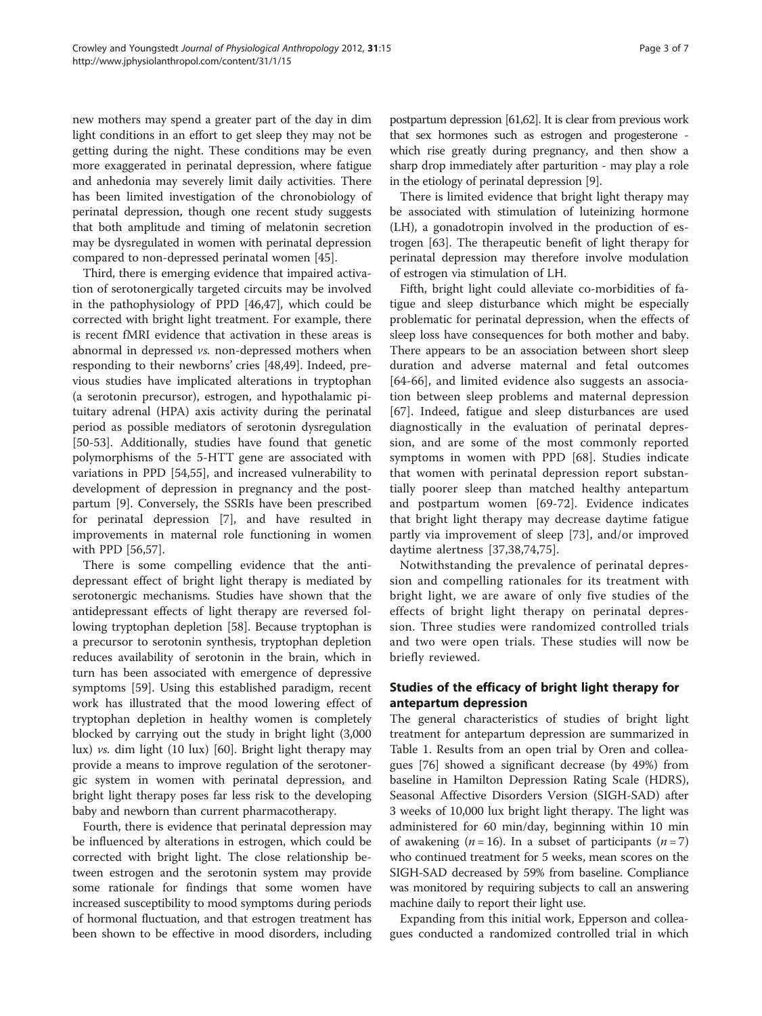new mothers may spend a greater part of the day in dim light conditions in an effort to get sleep they may not be getting during the night. These conditions may be even more exaggerated in perinatal depression, where fatigue and anhedonia may severely limit daily activities. There has been limited investigation of the chronobiology of perinatal depression, though one recent study suggests that both amplitude and timing of melatonin secretion may be dysregulated in women with perinatal depression compared to non-depressed perinatal women [[45\]](#page-5-0).

Third, there is emerging evidence that impaired activation of serotonergically targeted circuits may be involved in the pathophysiology of PPD [\[46,47](#page-5-0)], which could be corrected with bright light treatment. For example, there is recent fMRI evidence that activation in these areas is abnormal in depressed vs. non-depressed mothers when responding to their newborns' cries [[48,49](#page-5-0)]. Indeed, previous studies have implicated alterations in tryptophan (a serotonin precursor), estrogen, and hypothalamic pituitary adrenal (HPA) axis activity during the perinatal period as possible mediators of serotonin dysregulation [[50-53](#page-5-0)]. Additionally, studies have found that genetic polymorphisms of the 5-HTT gene are associated with variations in PPD [[54](#page-5-0),[55](#page-5-0)], and increased vulnerability to development of depression in pregnancy and the postpartum [[9\]](#page-4-0). Conversely, the SSRIs have been prescribed for perinatal depression [[7\]](#page-4-0), and have resulted in improvements in maternal role functioning in women with PPD [[56,57\]](#page-5-0).

There is some compelling evidence that the antidepressant effect of bright light therapy is mediated by serotonergic mechanisms. Studies have shown that the antidepressant effects of light therapy are reversed following tryptophan depletion [[58\]](#page-5-0). Because tryptophan is a precursor to serotonin synthesis, tryptophan depletion reduces availability of serotonin in the brain, which in turn has been associated with emergence of depressive symptoms [[59\]](#page-5-0). Using this established paradigm, recent work has illustrated that the mood lowering effect of tryptophan depletion in healthy women is completely blocked by carrying out the study in bright light (3,000 lux) vs. dim light (10 lux) [\[60\]](#page-5-0). Bright light therapy may provide a means to improve regulation of the serotonergic system in women with perinatal depression, and bright light therapy poses far less risk to the developing baby and newborn than current pharmacotherapy.

Fourth, there is evidence that perinatal depression may be influenced by alterations in estrogen, which could be corrected with bright light. The close relationship between estrogen and the serotonin system may provide some rationale for findings that some women have increased susceptibility to mood symptoms during periods of hormonal fluctuation, and that estrogen treatment has been shown to be effective in mood disorders, including

postpartum depression [\[61,62](#page-5-0)]. It is clear from previous work that sex hormones such as estrogen and progesterone which rise greatly during pregnancy, and then show a sharp drop immediately after parturition - may play a role in the etiology of perinatal depression [[9\]](#page-4-0).

There is limited evidence that bright light therapy may be associated with stimulation of luteinizing hormone (LH), a gonadotropin involved in the production of estrogen [\[63\]](#page-5-0). The therapeutic benefit of light therapy for perinatal depression may therefore involve modulation of estrogen via stimulation of LH.

Fifth, bright light could alleviate co-morbidities of fatigue and sleep disturbance which might be especially problematic for perinatal depression, when the effects of sleep loss have consequences for both mother and baby. There appears to be an association between short sleep duration and adverse maternal and fetal outcomes [[64-66\]](#page-5-0), and limited evidence also suggests an association between sleep problems and maternal depression [[67\]](#page-5-0). Indeed, fatigue and sleep disturbances are used diagnostically in the evaluation of perinatal depression, and are some of the most commonly reported symptoms in women with PPD [\[68](#page-5-0)]. Studies indicate that women with perinatal depression report substantially poorer sleep than matched healthy antepartum and postpartum women [\[69](#page-5-0)-[72\]](#page-5-0). Evidence indicates that bright light therapy may decrease daytime fatigue partly via improvement of sleep [[73\]](#page-5-0), and/or improved daytime alertness [\[37,38](#page-5-0),[74,75\]](#page-6-0).

Notwithstanding the prevalence of perinatal depression and compelling rationales for its treatment with bright light, we are aware of only five studies of the effects of bright light therapy on perinatal depression. Three studies were randomized controlled trials and two were open trials. These studies will now be briefly reviewed.

# Studies of the efficacy of bright light therapy for antepartum depression

The general characteristics of studies of bright light treatment for antepartum depression are summarized in Table [1](#page-3-0). Results from an open trial by Oren and colleagues [[76](#page-6-0)] showed a significant decrease (by 49%) from baseline in Hamilton Depression Rating Scale (HDRS), Seasonal Affective Disorders Version (SIGH-SAD) after 3 weeks of 10,000 lux bright light therapy. The light was administered for 60 min/day, beginning within 10 min of awakening ( $n = 16$ ). In a subset of participants ( $n = 7$ ) who continued treatment for 5 weeks, mean scores on the SIGH-SAD decreased by 59% from baseline. Compliance was monitored by requiring subjects to call an answering machine daily to report their light use.

Expanding from this initial work, Epperson and colleagues conducted a randomized controlled trial in which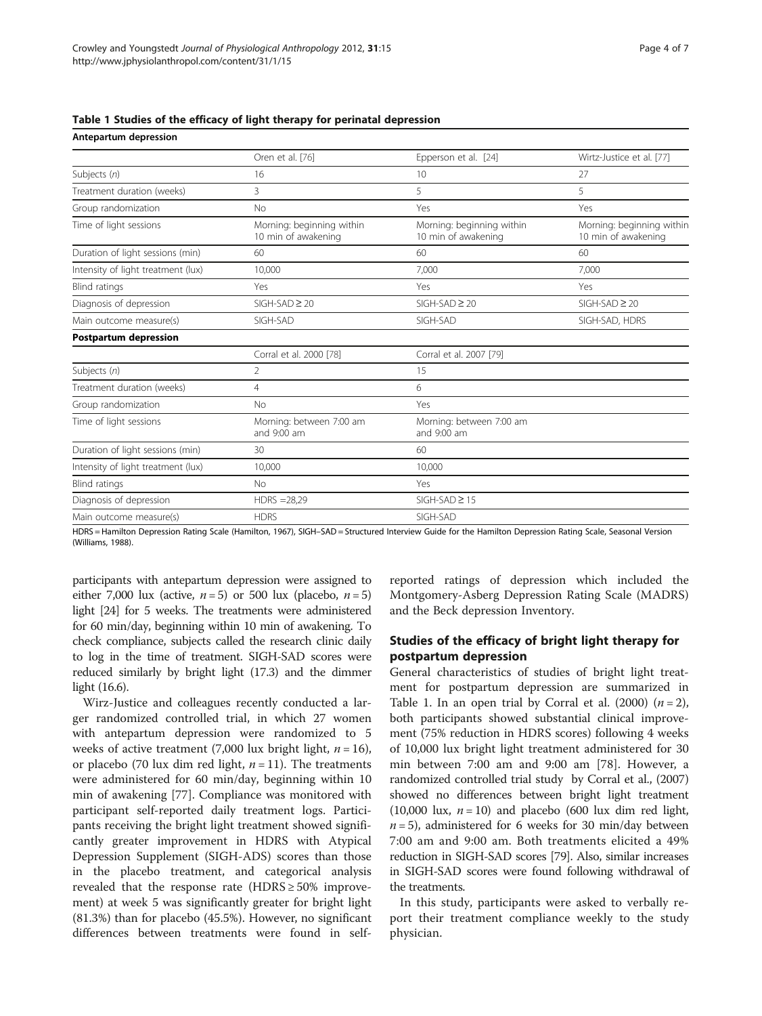Antepartum depression

|                                    | Oren et al. [76]                                 | Epperson et al. [24]                             | Wirtz-Justice et al. [77]                        |  |
|------------------------------------|--------------------------------------------------|--------------------------------------------------|--------------------------------------------------|--|
| Subjects (n)                       | 16                                               | 10                                               | 27                                               |  |
| Treatment duration (weeks)         | 3                                                | 5                                                | 5                                                |  |
| Group randomization                | <b>No</b>                                        | Yes                                              | Yes                                              |  |
| Time of light sessions             | Morning: beginning within<br>10 min of awakening | Morning: beginning within<br>10 min of awakening | Morning: beginning within<br>10 min of awakening |  |
| Duration of light sessions (min)   | 60                                               | 60                                               | 60                                               |  |
| Intensity of light treatment (lux) | 10.000                                           | 7.000                                            | 7.000                                            |  |
| <b>Blind ratings</b>               | Yes                                              | Yes                                              | Yes                                              |  |
| Diagnosis of depression            | $SIGH-SAD \geq 20$                               | $SIGH-SAD \geq 20$                               | $SIGH-SAD \geq 20$                               |  |
| Main outcome measure(s)            | SIGH-SAD                                         | SIGH-SAD                                         | SIGH-SAD, HDRS                                   |  |
| <b>Postpartum depression</b>       |                                                  |                                                  |                                                  |  |
|                                    | Corral et al. 2000 [78]                          | Corral et al. 2007 [79]                          |                                                  |  |
| Subjects (n)                       | $\overline{2}$                                   | 15                                               |                                                  |  |
| Treatment duration (weeks)         | $\overline{4}$                                   | 6                                                |                                                  |  |
| Group randomization                | <b>No</b>                                        | Yes                                              |                                                  |  |
| Time of light sessions             | Morning: between 7:00 am<br>and 9:00 am          | Morning: between 7:00 am<br>and 9:00 am          |                                                  |  |
| Duration of light sessions (min)   | 30                                               | 60                                               |                                                  |  |
| Intensity of light treatment (lux) | 10,000                                           | 10,000                                           |                                                  |  |
| Blind ratings                      | No                                               | Yes                                              |                                                  |  |
| Diagnosis of depression            | $HDRS = 28,29$                                   | $SIGH-SAD \geq 15$                               |                                                  |  |
| Main outcome measure(s)            | <b>HDRS</b>                                      | SIGH-SAD                                         |                                                  |  |

<span id="page-3-0"></span>

|  |  |  |  |  |  | Table 1 Studies of the efficacy of light therapy for perinatal depression |  |
|--|--|--|--|--|--|---------------------------------------------------------------------------|--|
|--|--|--|--|--|--|---------------------------------------------------------------------------|--|

HDRS = Hamilton Depression Rating Scale (Hamilton, 1967), SIGH–SAD = Structured Interview Guide for the Hamilton Depression Rating Scale, Seasonal Version (Williams, 1988).

participants with antepartum depression were assigned to either 7,000 lux (active,  $n = 5$ ) or 500 lux (placebo,  $n = 5$ ) light [\[24\]](#page-4-0) for 5 weeks. The treatments were administered for 60 min/day, beginning within 10 min of awakening. To check compliance, subjects called the research clinic daily to log in the time of treatment. SIGH-SAD scores were reduced similarly by bright light (17.3) and the dimmer light (16.6).

Wirz-Justice and colleagues recently conducted a larger randomized controlled trial, in which 27 women with antepartum depression were randomized to 5 weeks of active treatment (7,000 lux bright light,  $n = 16$ ), or placebo (70 lux dim red light,  $n = 11$ ). The treatments were administered for 60 min/day, beginning within 10 min of awakening [\[77\]](#page-6-0). Compliance was monitored with participant self-reported daily treatment logs. Participants receiving the bright light treatment showed significantly greater improvement in HDRS with Atypical Depression Supplement (SIGH-ADS) scores than those in the placebo treatment, and categorical analysis revealed that the response rate  $(HDRS \ge 50\%)$  improvement) at week 5 was significantly greater for bright light (81.3%) than for placebo (45.5%). However, no significant differences between treatments were found in self-

reported ratings of depression which included the Montgomery-Asberg Depression Rating Scale (MADRS) and the Beck depression Inventory.

# Studies of the efficacy of bright light therapy for postpartum depression

General characteristics of studies of bright light treatment for postpartum depression are summarized in Table 1. In an open trial by Corral et al. (2000)  $(n=2)$ , both participants showed substantial clinical improvement (75% reduction in HDRS scores) following 4 weeks of 10,000 lux bright light treatment administered for 30 min between 7:00 am and 9:00 am [[78\]](#page-6-0). However, a randomized controlled trial study by Corral et al., (2007) showed no differences between bright light treatment (10,000 lux,  $n = 10$ ) and placebo (600 lux dim red light,  $n = 5$ ), administered for 6 weeks for 30 min/day between 7:00 am and 9:00 am. Both treatments elicited a 49% reduction in SIGH-SAD scores [\[79\]](#page-6-0). Also, similar increases in SIGH-SAD scores were found following withdrawal of the treatments.

In this study, participants were asked to verbally report their treatment compliance weekly to the study physician.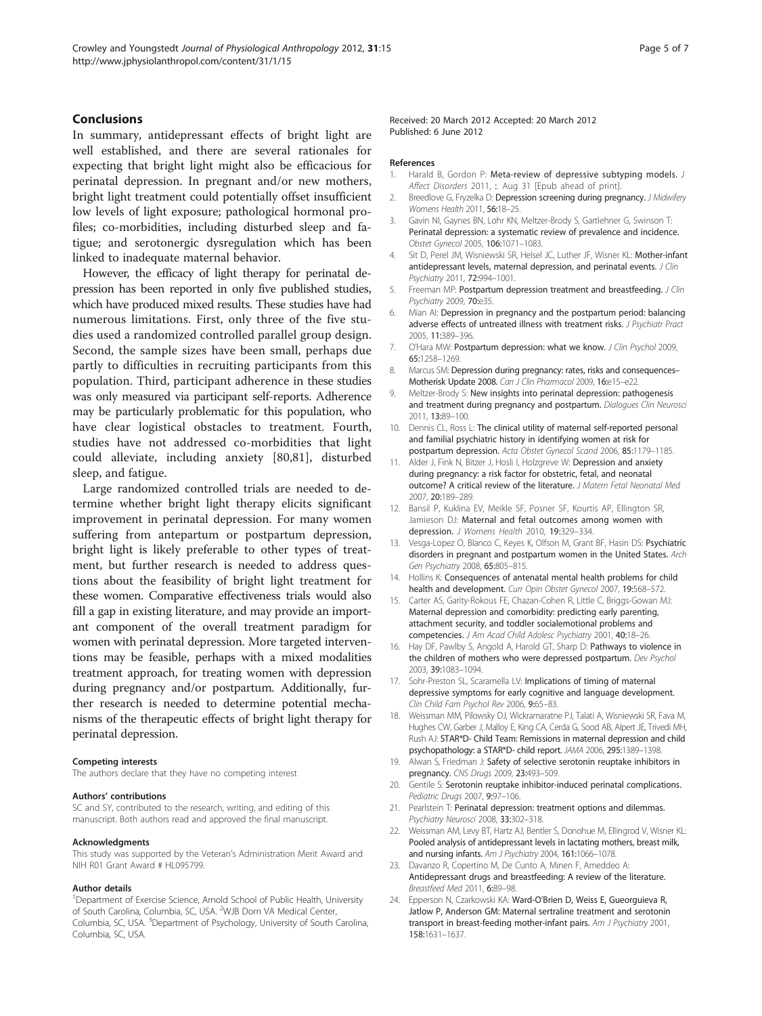### <span id="page-4-0"></span>Conclusions

In summary, antidepressant effects of bright light are well established, and there are several rationales for expecting that bright light might also be efficacious for perinatal depression. In pregnant and/or new mothers, bright light treatment could potentially offset insufficient low levels of light exposure; pathological hormonal profiles; co-morbidities, including disturbed sleep and fatigue; and serotonergic dysregulation which has been linked to inadequate maternal behavior.

However, the efficacy of light therapy for perinatal depression has been reported in only five published studies, which have produced mixed results. These studies have had numerous limitations. First, only three of the five studies used a randomized controlled parallel group design. Second, the sample sizes have been small, perhaps due partly to difficulties in recruiting participants from this population. Third, participant adherence in these studies was only measured via participant self-reports. Adherence may be particularly problematic for this population, who have clear logistical obstacles to treatment. Fourth, studies have not addressed co-morbidities that light could alleviate, including anxiety [\[80](#page-6-0),[81\]](#page-6-0), disturbed sleep, and fatigue.

Large randomized controlled trials are needed to determine whether bright light therapy elicits significant improvement in perinatal depression. For many women suffering from antepartum or postpartum depression, bright light is likely preferable to other types of treatment, but further research is needed to address questions about the feasibility of bright light treatment for these women. Comparative effectiveness trials would also fill a gap in existing literature, and may provide an important component of the overall treatment paradigm for women with perinatal depression. More targeted interventions may be feasible, perhaps with a mixed modalities treatment approach, for treating women with depression during pregnancy and/or postpartum. Additionally, further research is needed to determine potential mechanisms of the therapeutic effects of bright light therapy for perinatal depression.

#### Competing interests

The authors declare that they have no competing interest

#### Authors' contributions

SC and SY, contributed to the research, writing, and editing of this manuscript. Both authors read and approved the final manuscript.

#### Acknowledgments

This study was supported by the Veteran's Administration Merit Award and NIH R01 Grant Award # HL095799.

#### Author details

<sup>1</sup>Department of Exercise Science, Arnold School of Public Health, University of South Carolina, Columbia, SC, USA. <sup>2</sup>WJB Dorn VA Medical Center, Columbia, SC, USA. <sup>3</sup>Department of Psychology, University of South Carolina, Columbia, SC, USA.

Received: 20 March 2012 Accepted: 20 March 2012 Published: 6 June 2012

#### References

- 1. Harald B, Gordon P: Meta-review of depressive subtyping models. J Affect Disorders 2011, :. Aug 31 [Epub ahead of print].
- 2. Breedlove G, Fryzelka D: Depression screening during pregnancy. J Midwifery Womens Health 2011, 56:18–25.
- 3. Gavin NI, Gaynes BN, Lohr KN, Meltzer-Brody S, Gartlehner G, Swinson T: Perinatal depression: a systematic review of prevalence and incidence. Obstet Gynecol 2005, 106:1071–1083.
- 4. Sit D, Perel JM, Wisniewski SR, Helsel JC, Luther JF, Wisner KL: Mother-infant antidepressant levels, maternal depression, and perinatal events. J Clin Psychiatry 2011, 72:994–1001.
- 5. Freeman MP: Postpartum depression treatment and breastfeeding. J Clin Psychiatry 2009, 70:e35.
- 6. Mian AI: Depression in pregnancy and the postpartum period: balancing adverse effects of untreated illness with treatment risks. J Psychiatr Pract 2005, 11:389–396.
- 7. O'Hara MW: Postpartum depression: what we know. J Clin Psychol 2009, 65:1258–1269.
- 8. Marcus SM: Depression during pregnancy: rates, risks and consequences-Motherisk Update 2008. Can J Clin Pharmacol 2009, 16:e15–e22.
- 9. Meltzer-Brody S: New insights into perinatal depression: pathogenesis and treatment during pregnancy and postpartum. Dialogues Clin Neurosci 2011, 13:89–100.
- 10. Dennis CL, Ross L: The clinical utility of maternal self-reported personal and familial psychiatric history in identifying women at risk for postpartum depression. Acta Obstet Gynecol Scand 2006, 85:1179–1185.
- 11. Alder J, Fink N, Bitzer J, Hosli I, Holzgreve W: Depression and anxiety during pregnancy: a risk factor for obstetric, fetal, and neonatal outcome? A critical review of the literature. J Matern Fetal Neonatal Med 2007, 20:189–289.
- 12. Bansil P, Kuklina EV, Meikle SF, Posner SF, Kourtis AP, Ellington SR, Jamieson DJ: Maternal and fetal outcomes among women with depression. J Womens Health 2010, 19:329-334.
- 13. Vesga-Lopez O, Blanco C, Keyes K, Olfson M, Grant BF, Hasin DS: Psychiatric disorders in pregnant and postpartum women in the United States. Arch Gen Psychiatry 2008, 65:805–815.
- 14. Hollins K: Consequences of antenatal mental health problems for child health and development. Curr Opin Obstet Gynecol 2007, 19:568–572.
- 15. Carter AS, Garity-Rokous FE, Chazan-Cohen R, Little C, Briggs-Gowan MJ: Maternal depression and comorbidity: predicting early parenting, attachment security, and toddler socialemotional problems and competencies. J Am Acad Child Adolesc Psychiatry 2001, 40:18–26.
- 16. Hay DF, Pawlby S, Angold A, Harold GT, Sharp D: Pathways to violence in the children of mothers who were depressed postpartum. Dev Psychol 2003, 39:1083–1094.
- 17. Sohr-Preston SL, Scaramella LV: Implications of timing of maternal depressive symptoms for early cognitive and language development. Clin Child Fam Psychol Rev 2006, 9:65–83.
- 18. Weissman MM, Pilowsky DJ, Wickramaratne PJ, Talati A, Wisniewski SR, Fava M, Hughes CW, Garber J, Malloy E, King CA, Cerda G, Sood AB, Alpert JE, Trivedi MH, Rush AJ: STAR\*D- Child Team: Remissions in maternal depression and child psychopathology: a STAR\*D- child report. JAMA 2006, 295:1389–1398.
- 19. Alwan S, Friedman J: Safety of selective serotonin reuptake inhibitors in pregnancy. CNS Drugs 2009, 23:493–509.
- 20. Gentile S: Serotonin reuptake inhibitor-induced perinatal complications. Pediatric Drugs 2007, 9:97–106.
- 21. Pearlstein T: Perinatal depression: treatment options and dilemmas. Psychiatry Neurosci 2008, 33:302–318.
- 22. Weissman AM, Levy BT, Hartz AJ, Bentler S, Donohue M, Ellingrod V, Wisner KL: Pooled analysis of antidepressant levels in lactating mothers, breast milk, and nursing infants. Am J Psychiatry 2004, 161:1066–1078.
- 23. Davanzo R, Copertino M, De Cunto A, Minen F, Ameddeo A: Antidepressant drugs and breastfeeding: A review of the literature. Breastfeed Med 2011, 6:89–98.
- 24. Epperson N, Czarkowski KA: Ward-O'Brien D, Weiss E, Gueorguieva R, Jatlow P, Anderson GM: Maternal sertraline treatment and serotonin transport in breast-feeding mother-infant pairs. Am J Psychiatry 2001, 158:1631–1637.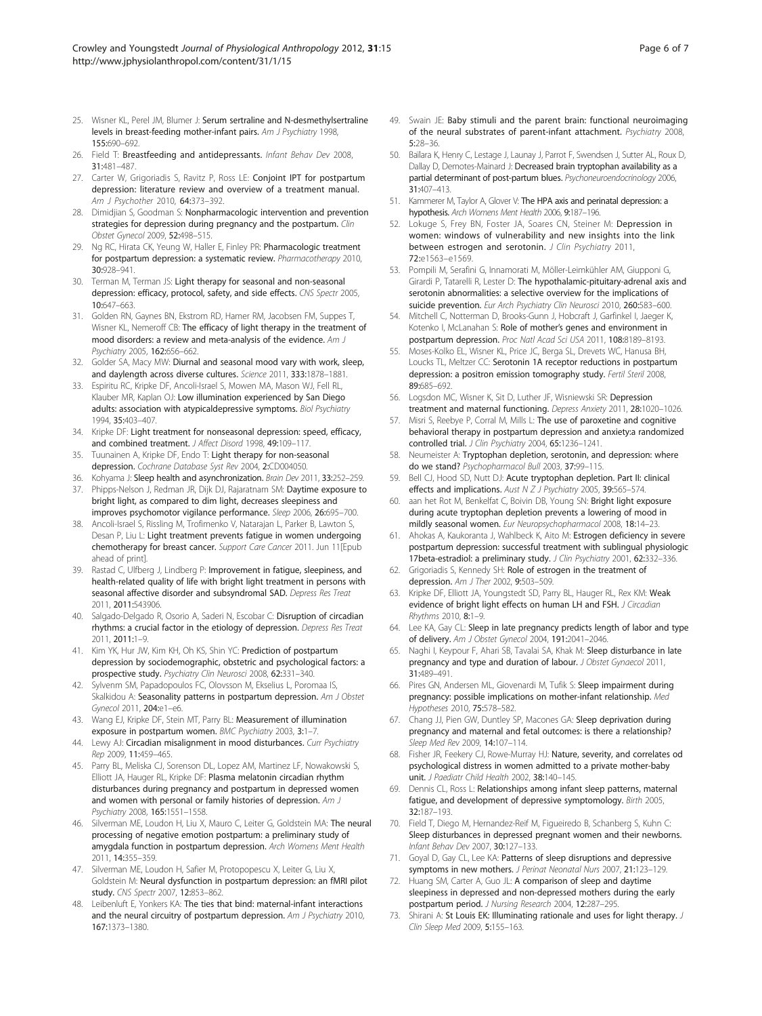- <span id="page-5-0"></span>25. Wisner KL, Perel JM, Blumer J: Serum sertraline and N-desmethylsertraline levels in breast-feeding mother-infant pairs. Am J Psychiatry 1998, 155:690–692.
- 26. Field T: Breastfeeding and antidepressants. Infant Behav Dev 2008, 31:481–487.
- 27. Carter W, Grigoriadis S, Ravitz P, Ross LE: Conjoint IPT for postpartum depression: literature review and overview of a treatment manual. Am J Psychother 2010, 64:373–392.
- 28. Dimidjian S, Goodman S: Nonpharmacologic intervention and prevention strategies for depression during pregnancy and the postpartum. Clin Obstet Gynecol 2009, 52:498–515.
- 29. Ng RC, Hirata CK, Yeung W, Haller E, Finley PR: Pharmacologic treatment for postpartum depression: a systematic review. Pharmacotherapy 2010, 30:928–941.
- 30. Terman M, Terman JS: Light therapy for seasonal and non-seasonal depression: efficacy, protocol, safety, and side effects. CNS Spectr 2005, 10:647–663.
- 31. Golden RN, Gaynes BN, Ekstrom RD, Hamer RM, Jacobsen FM, Suppes T, Wisner KL, Nemeroff CB: The efficacy of light therapy in the treatment of mood disorders: a review and meta-analysis of the evidence. Am J Psychiatry 2005, 162:656–662.
- 32. Golder SA, Macy MW: Diurnal and seasonal mood vary with work, sleep, and daylength across diverse cultures. Science 2011, 333:1878–1881.
- 33. Espiritu RC, Kripke DF, Ancoli-Israel S, Mowen MA, Mason WJ, Fell RL, Klauber MR, Kaplan OJ: Low illumination experienced by San Diego adults: association with atypicaldepressive symptoms. Biol Psychiatry 1994, 35:403–407.
- 34. Kripke DF: Light treatment for nonseasonal depression: speed, efficacy, and combined treatment. J Affect Disord 1998, 49:109-117.
- 35. Tuunainen A, Kripke DF, Endo T: Light therapy for non-seasonal depression. Cochrane Database Syst Rev 2004, 2:CD004050.
- 36. Kohyama J: Sleep health and asynchronization. Brain Dev 2011, 33:252–259.
- 37. Phipps-Nelson J, Redman JR, Dijk DJ, Rajaratnam SM: Daytime exposure to bright light, as compared to dim light, decreases sleepiness and improves psychomotor vigilance performance. Sleep 2006, 26:695–700.
- 38. Ancoli-Israel S, Rissling M, Trofimenko V, Natarajan L, Parker B, Lawton S, Desan P, Liu L: Light treatment prevents fatigue in women undergoing chemotherapy for breast cancer. Support Care Cancer 2011. Jun 11[Epub ahead of print].
- 39. Rastad C, Ulfberg J, Lindberg P: Improvement in fatigue, sleepiness, and health-related quality of life with bright light treatment in persons with seasonal affective disorder and subsyndromal SAD. Depress Res Treat 2011, 2011:543906.
- 40. Salgado-Delgado R, Osorio A, Saderi N, Escobar C: Disruption of circadian rhythms: a crucial factor in the etiology of depression. Depress Res Treat  $2011$ ,  $2011:1-9$
- 41. Kim YK, Hur JW, Kim KH, Oh KS, Shin YC: Prediction of postpartum depression by sociodemographic, obstetric and psychological factors: a prospective study. Psychiatry Clin Neurosci 2008, 62:331-340.
- 42. Sylvenm SM, Papadopoulos FC, Olovsson M, Ekselius L, Poromaa IS, Skalkidou A: Seasonality patterns in postpartum depression. Am J Obstet Gynecol 2011, 204:e1–e6.
- 43. Wang EJ, Kripke DF, Stein MT, Parry BL: Measurement of illumination exposure in postpartum women. BMC Psychiatry 2003, 3:1–7.
- 44. Lewy AJ: Circadian misalignment in mood disturbances. Curr Psychiatry Rep 2009, 11:459–465.
- 45. Parry BL, Meliska CJ, Sorenson DL, Lopez AM, Martinez LF, Nowakowski S, Elliott JA, Hauger RL, Kripke DF: Plasma melatonin circadian rhythm disturbances during pregnancy and postpartum in depressed women and women with personal or family histories of depression. Am J Psychiatry 2008, 165:1551–1558.
- 46. Silverman ME, Loudon H, Liu X, Mauro C, Leiter G, Goldstein MA: The neural processing of negative emotion postpartum: a preliminary study of amygdala function in postpartum depression. Arch Womens Ment Health 2011, 14:355–359.
- 47. Silverman ME, Loudon H, Safier M, Protopopescu X, Leiter G, Liu X, Goldstein M: Neural dysfunction in postpartum depression: an fMRI pilot study. CNS Spectr 2007, 12:853-862.
- 48. Leibenluft E, Yonkers KA: The ties that bind: maternal-infant interactions and the neural circuitry of postpartum depression. Am J Psychiatry 2010, 167:1373–1380.
- 49. Swain JE: Baby stimuli and the parent brain: functional neuroimaging of the neural substrates of parent-infant attachment. Psychiatry 2008, 5:28–36.
- 50. Baïlara K, Henry C, Lestage J, Launay J, Parrot F, Swendsen J, Sutter AL, Roux D, Dallay D, Demotes-Mainard J: Decreased brain tryptophan availability as a partial determinant of post-partum blues. Psychoneuroendocrinology 2006, 31:407–413.
- 51. Kammerer M, Taylor A, Glover V: The HPA axis and perinatal depression: a hypothesis. Arch Womens Ment Health 2006, 9:187–196.
- 52. Lokuge S, Frey BN, Foster JA, Soares CN, Steiner M: Depression in women: windows of vulnerability and new insights into the link between estrogen and serotonin. J Clin Psychiatry 2011, 72:e1563–e1569.
- 53. Pompili M, Serafini G, Innamorati M, Möller-Leimkühler AM, Giupponi G, Girardi P, Tatarelli R, Lester D: The hypothalamic-pituitary-adrenal axis and serotonin abnormalities: a selective overview for the implications of suicide prevention. Eur Arch Psychiatry Clin Neurosci 2010, 260:583-600.
- 54. Mitchell C, Notterman D, Brooks-Gunn J, Hobcraft J, Garfinkel I, Jaeger K, Kotenko I, McLanahan S: Role of mother's genes and environment in postpartum depression. Proc Natl Acad Sci USA 2011, 108:8189–8193.
- 55. Moses-Kolko EL, Wisner KL, Price JC, Berga SL, Drevets WC, Hanusa BH, Loucks TL, Meltzer CC: Serotonin 1A receptor reductions in postpartum depression: a positron emission tomography study. Fertil Steril 2008, 89:685–692.
- 56. Logsdon MC, Wisner K, Sit D, Luther JF, Wisniewski SR: Depression treatment and maternal functioning. Depress Anxiety 2011, 28:1020–1026.
- 57. Misri S, Reebye P, Corral M, Mills L: The use of paroxetine and cognitive behavioral therapy in postpartum depression and anxiety:a randomized controlled trial. J Clin Psychiatry 2004, 65:1236–1241.
- 58. Neumeister A: Tryptophan depletion, serotonin, and depression: where do we stand? Psychopharmacol Bull 2003, 37:99-115.
- 59. Bell CJ, Hood SD, Nutt DJ: Acute tryptophan depletion. Part II: clinical effects and implications. Aust N Z J Psychiatry 2005, 39:565-574.
- 60. aan het Rot M, Benkelfat C, Boivin DB, Young SN: Bright light exposure during acute tryptophan depletion prevents a lowering of mood in mildly seasonal women. Eur Neuropsychopharmacol 2008, 18:14–23.
- 61. Ahokas A, Kaukoranta J, Wahlbeck K, Aito M: Estrogen deficiency in severe postpartum depression: successful treatment with sublingual physiologic 17beta-estradiol: a preliminary study. J Clin Psychiatry 2001, 62:332-336.
- 62. Grigoriadis S, Kennedy SH: Role of estrogen in the treatment of depression. Am J Ther 2002, 9:503–509.
- 63. Kripke DF, Elliott JA, Youngstedt SD, Parry BL, Hauger RL, Rex KM: Weak evidence of bright light effects on human LH and FSH. J Circadian Rhythms 2010, 8:1–9.
- 64. Lee KA, Gay CL: Sleep in late pregnancy predicts length of labor and type of delivery. Am J Obstet Gynecol 2004, 191:2041–2046.
- 65. Naghi I, Keypour F, Ahari SB, Tavalai SA, Khak M: Sleep disturbance in late pregnancy and type and duration of labour. J Obstet Gynaecol 2011, 31:489–491.
- 66. Pires GN, Andersen ML, Giovenardi M, Tufik S: Sleep impairment during pregnancy: possible implications on mother-infant relationship. Med Hypotheses 2010, 75:578–582.
- 67. Chang JJ, Pien GW, Duntley SP, Macones GA: Sleep deprivation during pregnancy and maternal and fetal outcomes: is there a relationship? Sleep Med Rev 2009, 14:107–114.
- 68. Fisher JR, Feekery CJ, Rowe-Murray HJ: Nature, severity, and correlates od psychological distress in women admitted to a private mother-baby unit. J Paediatr Child Health 2002, 38:140-145.
- 69. Dennis CL, Ross L: Relationships among infant sleep patterns, maternal fatigue, and development of depressive symptomology. Birth 2005, 32:187–193.
- 70. Field T, Diego M, Hernandez-Reif M, Figueiredo B, Schanberg S, Kuhn C: Sleep disturbances in depressed pregnant women and their newborns. Infant Behav Dev 2007, 30:127–133.
- 71. Goyal D, Gay CL, Lee KA: Patterns of sleep disruptions and depressive symptoms in new mothers. J Perinat Neonatal Nurs 2007, 21:123-129.
- 72. Huang SM, Carter A, Guo JL: A comparison of sleep and daytime sleepiness in depressed and non-depressed mothers during the early postpartum period. J Nursing Research 2004, 12:287–295.
- 73. Shirani A: St Louis EK: Illuminating rationale and uses for light therapy. J Clin Sleep Med 2009, 5:155–163.